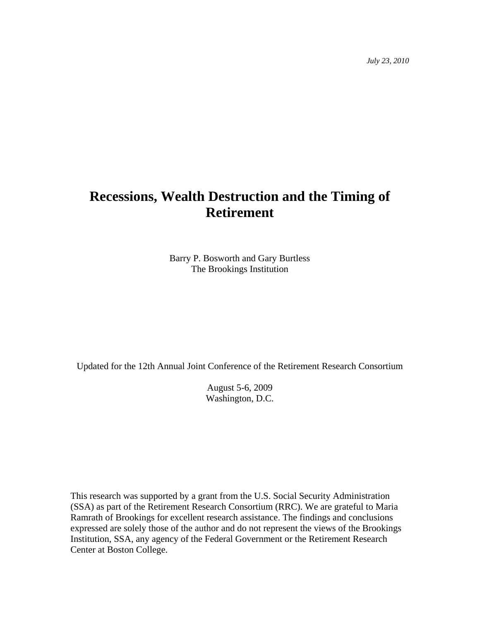*July 23, 2010* 

# **Recessions, Wealth Destruction and the Timing of Retirement**

Barry P. Bosworth and Gary Burtless The Brookings Institution

Updated for the 12th Annual Joint Conference of the Retirement Research Consortium

August 5-6, 2009 Washington, D.C.

This research was supported by a grant from the U.S. Social Security Administration (SSA) as part of the Retirement Research Consortium (RRC). We are grateful to Maria Ramrath of Brookings for excellent research assistance. The findings and conclusions expressed are solely those of the author and do not represent the views of the Brookings Institution, SSA, any agency of the Federal Government or the Retirement Research Center at Boston College.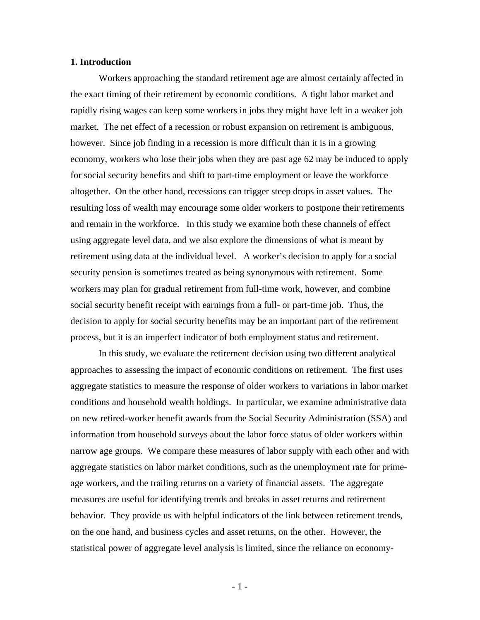#### **1. Introduction**

Workers approaching the standard retirement age are almost certainly affected in the exact timing of their retirement by economic conditions. A tight labor market and rapidly rising wages can keep some workers in jobs they might have left in a weaker job market. The net effect of a recession or robust expansion on retirement is ambiguous, however. Since job finding in a recession is more difficult than it is in a growing economy, workers who lose their jobs when they are past age 62 may be induced to apply for social security benefits and shift to part-time employment or leave the workforce altogether. On the other hand, recessions can trigger steep drops in asset values. The resulting loss of wealth may encourage some older workers to postpone their retirements and remain in the workforce. In this study we examine both these channels of effect using aggregate level data, and we also explore the dimensions of what is meant by retirement using data at the individual level. A worker's decision to apply for a social security pension is sometimes treated as being synonymous with retirement. Some workers may plan for gradual retirement from full-time work, however, and combine social security benefit receipt with earnings from a full- or part-time job. Thus, the decision to apply for social security benefits may be an important part of the retirement process, but it is an imperfect indicator of both employment status and retirement.

In this study, we evaluate the retirement decision using two different analytical approaches to assessing the impact of economic conditions on retirement. The first uses aggregate statistics to measure the response of older workers to variations in labor market conditions and household wealth holdings. In particular, we examine administrative data on new retired-worker benefit awards from the Social Security Administration (SSA) and information from household surveys about the labor force status of older workers within narrow age groups. We compare these measures of labor supply with each other and with aggregate statistics on labor market conditions, such as the unemployment rate for primeage workers, and the trailing returns on a variety of financial assets. The aggregate measures are useful for identifying trends and breaks in asset returns and retirement behavior. They provide us with helpful indicators of the link between retirement trends, on the one hand, and business cycles and asset returns, on the other. However, the statistical power of aggregate level analysis is limited, since the reliance on economy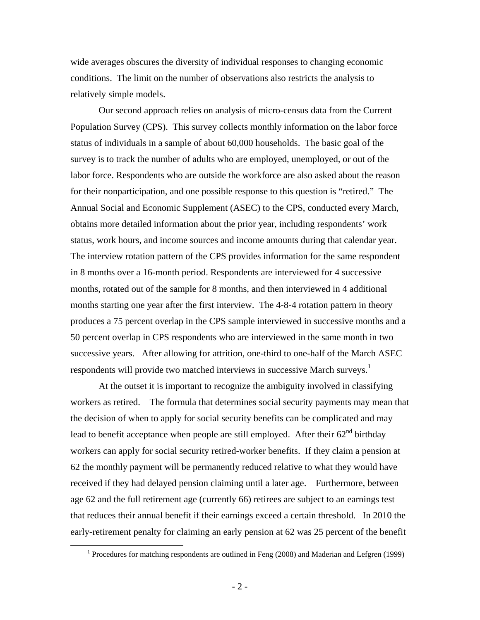wide averages obscures the diversity of individual responses to changing economic conditions. The limit on the number of observations also restricts the analysis to relatively simple models.

Our second approach relies on analysis of micro-census data from the Current Population Survey (CPS). This survey collects monthly information on the labor force status of individuals in a sample of about 60,000 households. The basic goal of the survey is to track the number of adults who are employed, unemployed, or out of the labor force. Respondents who are outside the workforce are also asked about the reason for their nonparticipation, and one possible response to this question is "retired." The Annual Social and Economic Supplement (ASEC) to the CPS, conducted every March, obtains more detailed information about the prior year, including respondents' work status, work hours, and income sources and income amounts during that calendar year. The interview rotation pattern of the CPS provides information for the same respondent in 8 months over a 16-month period. Respondents are interviewed for 4 successive months, rotated out of the sample for 8 months, and then interviewed in 4 additional months starting one year after the first interview. The 4-8-4 rotation pattern in theory produces a 75 percent overlap in the CPS sample interviewed in successive months and a 50 percent overlap in CPS respondents who are interviewed in the same month in two successive years. After allowing for attrition, one-third to one-half of the March ASEC respondents will provide two matched interviews in successive March surveys.<sup>1</sup>

At the outset it is important to recognize the ambiguity involved in classifying workers as retired. The formula that determines social security payments may mean that the decision of when to apply for social security benefits can be complicated and may lead to benefit acceptance when people are still employed. After their  $62<sup>nd</sup>$  birthday workers can apply for social security retired-worker benefits. If they claim a pension at 62 the monthly payment will be permanently reduced relative to what they would have received if they had delayed pension claiming until a later age. Furthermore, between age 62 and the full retirement age (currently 66) retirees are subject to an earnings test that reduces their annual benefit if their earnings exceed a certain threshold. In 2010 the early-retirement penalty for claiming an early pension at 62 was 25 percent of the benefit

 <sup>1</sup> <sup>1</sup> Procedures for matching respondents are outlined in Feng (2008) and Maderian and Lefgren (1999)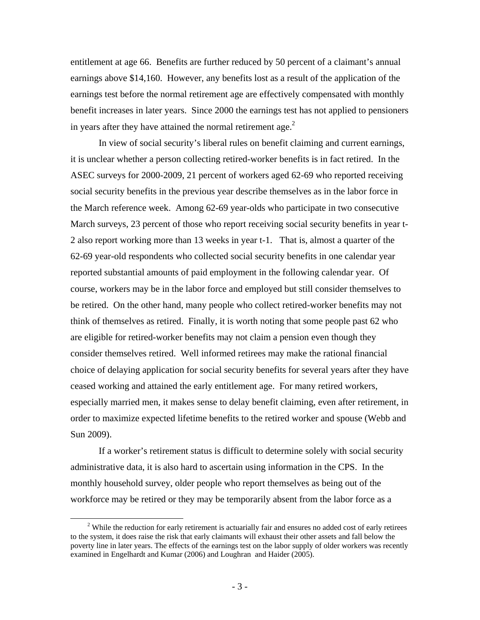entitlement at age 66. Benefits are further reduced by 50 percent of a claimant's annual earnings above \$14,160. However, any benefits lost as a result of the application of the earnings test before the normal retirement age are effectively compensated with monthly benefit increases in later years. Since 2000 the earnings test has not applied to pensioners in years after they have attained the normal retirement age. $<sup>2</sup>$ </sup>

In view of social security's liberal rules on benefit claiming and current earnings, it is unclear whether a person collecting retired-worker benefits is in fact retired. In the ASEC surveys for 2000-2009, 21 percent of workers aged 62-69 who reported receiving social security benefits in the previous year describe themselves as in the labor force in the March reference week. Among 62-69 year-olds who participate in two consecutive March surveys, 23 percent of those who report receiving social security benefits in year t-2 also report working more than 13 weeks in year t-1. That is, almost a quarter of the 62-69 year-old respondents who collected social security benefits in one calendar year reported substantial amounts of paid employment in the following calendar year. Of course, workers may be in the labor force and employed but still consider themselves to be retired. On the other hand, many people who collect retired-worker benefits may not think of themselves as retired. Finally, it is worth noting that some people past 62 who are eligible for retired-worker benefits may not claim a pension even though they consider themselves retired. Well informed retirees may make the rational financial choice of delaying application for social security benefits for several years after they have ceased working and attained the early entitlement age. For many retired workers, especially married men, it makes sense to delay benefit claiming, even after retirement, in order to maximize expected lifetime benefits to the retired worker and spouse (Webb and Sun 2009).

If a worker's retirement status is difficult to determine solely with social security administrative data, it is also hard to ascertain using information in the CPS. In the monthly household survey, older people who report themselves as being out of the workforce may be retired or they may be temporarily absent from the labor force as a

 <sup>2</sup> <sup>2</sup> While the reduction for early retirement is actuarially fair and ensures no added cost of early retirees to the system, it does raise the risk that early claimants will exhaust their other assets and fall below the poverty line in later years. The effects of the earnings test on the labor supply of older workers was recently examined in Engelhardt and Kumar (2006) and Loughran and Haider (2005).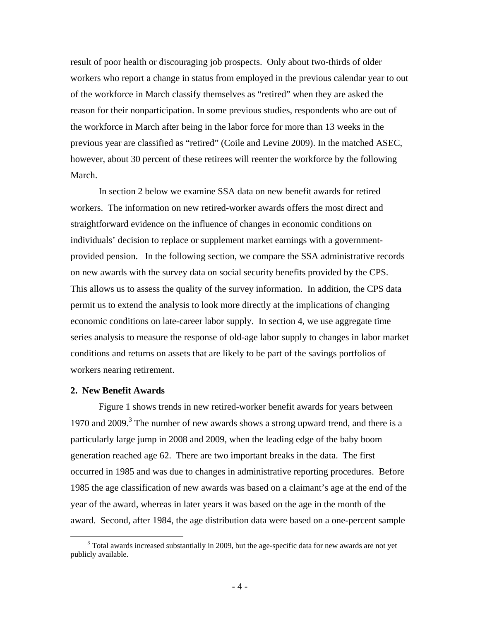result of poor health or discouraging job prospects. Only about two-thirds of older workers who report a change in status from employed in the previous calendar year to out of the workforce in March classify themselves as "retired" when they are asked the reason for their nonparticipation. In some previous studies, respondents who are out of the workforce in March after being in the labor force for more than 13 weeks in the previous year are classified as "retired" (Coile and Levine 2009). In the matched ASEC, however, about 30 percent of these retirees will reenter the workforce by the following March.

In section 2 below we examine SSA data on new benefit awards for retired workers. The information on new retired-worker awards offers the most direct and straightforward evidence on the influence of changes in economic conditions on individuals' decision to replace or supplement market earnings with a governmentprovided pension. In the following section, we compare the SSA administrative records on new awards with the survey data on social security benefits provided by the CPS. This allows us to assess the quality of the survey information. In addition, the CPS data permit us to extend the analysis to look more directly at the implications of changing economic conditions on late-career labor supply. In section 4, we use aggregate time series analysis to measure the response of old-age labor supply to changes in labor market conditions and returns on assets that are likely to be part of the savings portfolios of workers nearing retirement.

#### **2. New Benefit Awards**

Figure 1 shows trends in new retired-worker benefit awards for years between 1970 and 2009. $3$  The number of new awards shows a strong upward trend, and there is a particularly large jump in 2008 and 2009, when the leading edge of the baby boom generation reached age 62. There are two important breaks in the data. The first occurred in 1985 and was due to changes in administrative reporting procedures. Before 1985 the age classification of new awards was based on a claimant's age at the end of the year of the award, whereas in later years it was based on the age in the month of the award. Second, after 1984, the age distribution data were based on a one-percent sample

 <sup>3</sup> <sup>3</sup> Total awards increased substantially in 2009, but the age-specific data for new awards are not yet publicly available.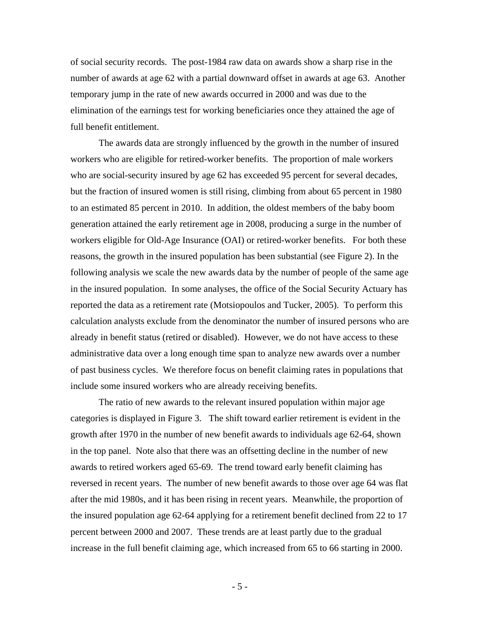of social security records. The post-1984 raw data on awards show a sharp rise in the number of awards at age 62 with a partial downward offset in awards at age 63. Another temporary jump in the rate of new awards occurred in 2000 and was due to the elimination of the earnings test for working beneficiaries once they attained the age of full benefit entitlement.

The awards data are strongly influenced by the growth in the number of insured workers who are eligible for retired-worker benefits. The proportion of male workers who are social-security insured by age 62 has exceeded 95 percent for several decades, but the fraction of insured women is still rising, climbing from about 65 percent in 1980 to an estimated 85 percent in 2010. In addition, the oldest members of the baby boom generation attained the early retirement age in 2008, producing a surge in the number of workers eligible for Old-Age Insurance (OAI) or retired-worker benefits. For both these reasons, the growth in the insured population has been substantial (see Figure 2). In the following analysis we scale the new awards data by the number of people of the same age in the insured population. In some analyses, the office of the Social Security Actuary has reported the data as a retirement rate (Motsiopoulos and Tucker, 2005). To perform this calculation analysts exclude from the denominator the number of insured persons who are already in benefit status (retired or disabled). However, we do not have access to these administrative data over a long enough time span to analyze new awards over a number of past business cycles. We therefore focus on benefit claiming rates in populations that include some insured workers who are already receiving benefits.

The ratio of new awards to the relevant insured population within major age categories is displayed in Figure 3. The shift toward earlier retirement is evident in the growth after 1970 in the number of new benefit awards to individuals age 62-64, shown in the top panel. Note also that there was an offsetting decline in the number of new awards to retired workers aged 65-69. The trend toward early benefit claiming has reversed in recent years. The number of new benefit awards to those over age 64 was flat after the mid 1980s, and it has been rising in recent years. Meanwhile, the proportion of the insured population age 62-64 applying for a retirement benefit declined from 22 to 17 percent between 2000 and 2007. These trends are at least partly due to the gradual increase in the full benefit claiming age, which increased from 65 to 66 starting in 2000.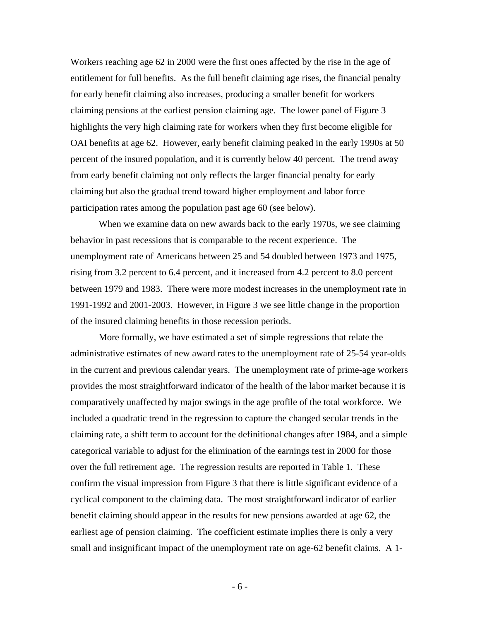Workers reaching age 62 in 2000 were the first ones affected by the rise in the age of entitlement for full benefits. As the full benefit claiming age rises, the financial penalty for early benefit claiming also increases, producing a smaller benefit for workers claiming pensions at the earliest pension claiming age. The lower panel of Figure 3 highlights the very high claiming rate for workers when they first become eligible for OAI benefits at age 62. However, early benefit claiming peaked in the early 1990s at 50 percent of the insured population, and it is currently below 40 percent. The trend away from early benefit claiming not only reflects the larger financial penalty for early claiming but also the gradual trend toward higher employment and labor force participation rates among the population past age 60 (see below).

When we examine data on new awards back to the early 1970s, we see claiming behavior in past recessions that is comparable to the recent experience. The unemployment rate of Americans between 25 and 54 doubled between 1973 and 1975, rising from 3.2 percent to 6.4 percent, and it increased from 4.2 percent to 8.0 percent between 1979 and 1983. There were more modest increases in the unemployment rate in 1991-1992 and 2001-2003. However, in Figure 3 we see little change in the proportion of the insured claiming benefits in those recession periods.

More formally, we have estimated a set of simple regressions that relate the administrative estimates of new award rates to the unemployment rate of 25-54 year-olds in the current and previous calendar years. The unemployment rate of prime-age workers provides the most straightforward indicator of the health of the labor market because it is comparatively unaffected by major swings in the age profile of the total workforce. We included a quadratic trend in the regression to capture the changed secular trends in the claiming rate, a shift term to account for the definitional changes after 1984, and a simple categorical variable to adjust for the elimination of the earnings test in 2000 for those over the full retirement age. The regression results are reported in Table 1. These confirm the visual impression from Figure 3 that there is little significant evidence of a cyclical component to the claiming data. The most straightforward indicator of earlier benefit claiming should appear in the results for new pensions awarded at age 62, the earliest age of pension claiming. The coefficient estimate implies there is only a very small and insignificant impact of the unemployment rate on age-62 benefit claims. A 1-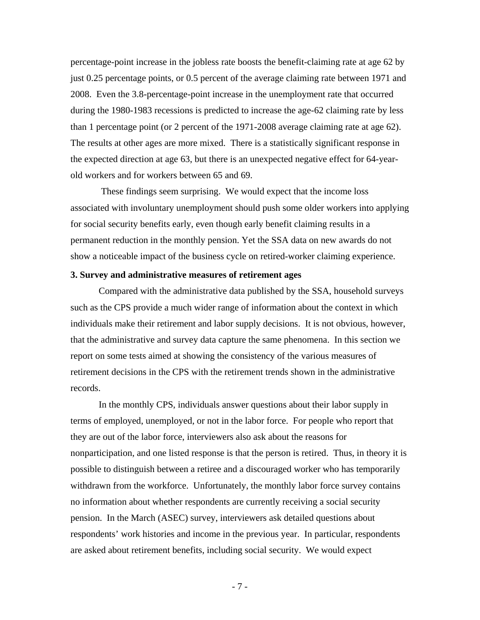percentage-point increase in the jobless rate boosts the benefit-claiming rate at age 62 by just 0.25 percentage points, or 0.5 percent of the average claiming rate between 1971 and 2008. Even the 3.8-percentage-point increase in the unemployment rate that occurred during the 1980-1983 recessions is predicted to increase the age-62 claiming rate by less than 1 percentage point (or 2 percent of the 1971-2008 average claiming rate at age 62). The results at other ages are more mixed. There is a statistically significant response in the expected direction at age 63, but there is an unexpected negative effect for 64-yearold workers and for workers between 65 and 69.

 These findings seem surprising. We would expect that the income loss associated with involuntary unemployment should push some older workers into applying for social security benefits early, even though early benefit claiming results in a permanent reduction in the monthly pension. Yet the SSA data on new awards do not show a noticeable impact of the business cycle on retired-worker claiming experience.

#### **3. Survey and administrative measures of retirement ages**

Compared with the administrative data published by the SSA, household surveys such as the CPS provide a much wider range of information about the context in which individuals make their retirement and labor supply decisions. It is not obvious, however, that the administrative and survey data capture the same phenomena. In this section we report on some tests aimed at showing the consistency of the various measures of retirement decisions in the CPS with the retirement trends shown in the administrative records.

 In the monthly CPS, individuals answer questions about their labor supply in terms of employed, unemployed, or not in the labor force. For people who report that they are out of the labor force, interviewers also ask about the reasons for nonparticipation, and one listed response is that the person is retired. Thus, in theory it is possible to distinguish between a retiree and a discouraged worker who has temporarily withdrawn from the workforce. Unfortunately, the monthly labor force survey contains no information about whether respondents are currently receiving a social security pension. In the March (ASEC) survey, interviewers ask detailed questions about respondents' work histories and income in the previous year. In particular, respondents are asked about retirement benefits, including social security. We would expect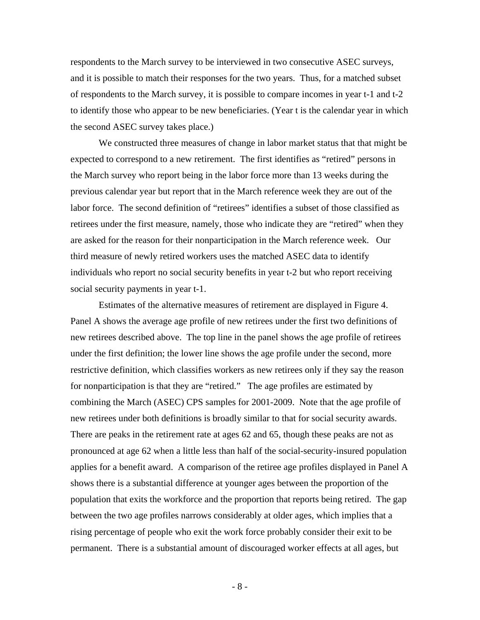respondents to the March survey to be interviewed in two consecutive ASEC surveys, and it is possible to match their responses for the two years. Thus, for a matched subset of respondents to the March survey, it is possible to compare incomes in year t-1 and t-2 to identify those who appear to be new beneficiaries. (Year t is the calendar year in which the second ASEC survey takes place.)

 We constructed three measures of change in labor market status that that might be expected to correspond to a new retirement. The first identifies as "retired" persons in the March survey who report being in the labor force more than 13 weeks during the previous calendar year but report that in the March reference week they are out of the labor force. The second definition of "retirees" identifies a subset of those classified as retirees under the first measure, namely, those who indicate they are "retired" when they are asked for the reason for their nonparticipation in the March reference week. Our third measure of newly retired workers uses the matched ASEC data to identify individuals who report no social security benefits in year t-2 but who report receiving social security payments in year t-1.

 Estimates of the alternative measures of retirement are displayed in Figure 4. Panel A shows the average age profile of new retirees under the first two definitions of new retirees described above. The top line in the panel shows the age profile of retirees under the first definition; the lower line shows the age profile under the second, more restrictive definition, which classifies workers as new retirees only if they say the reason for nonparticipation is that they are "retired." The age profiles are estimated by combining the March (ASEC) CPS samples for 2001-2009. Note that the age profile of new retirees under both definitions is broadly similar to that for social security awards. There are peaks in the retirement rate at ages 62 and 65, though these peaks are not as pronounced at age 62 when a little less than half of the social-security-insured population applies for a benefit award. A comparison of the retiree age profiles displayed in Panel A shows there is a substantial difference at younger ages between the proportion of the population that exits the workforce and the proportion that reports being retired. The gap between the two age profiles narrows considerably at older ages, which implies that a rising percentage of people who exit the work force probably consider their exit to be permanent. There is a substantial amount of discouraged worker effects at all ages, but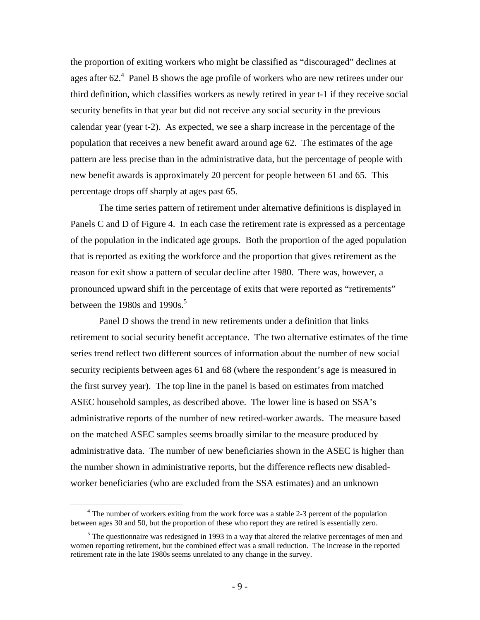the proportion of exiting workers who might be classified as "discouraged" declines at ages after  $62<sup>4</sup>$  Panel B shows the age profile of workers who are new retirees under our third definition, which classifies workers as newly retired in year t-1 if they receive social security benefits in that year but did not receive any social security in the previous calendar year (year t-2). As expected, we see a sharp increase in the percentage of the population that receives a new benefit award around age 62. The estimates of the age pattern are less precise than in the administrative data, but the percentage of people with new benefit awards is approximately 20 percent for people between 61 and 65. This percentage drops off sharply at ages past 65.

The time series pattern of retirement under alternative definitions is displayed in Panels C and D of Figure 4. In each case the retirement rate is expressed as a percentage of the population in the indicated age groups. Both the proportion of the aged population that is reported as exiting the workforce and the proportion that gives retirement as the reason for exit show a pattern of secular decline after 1980. There was, however, a pronounced upward shift in the percentage of exits that were reported as "retirements" between the 1980s and 1990s.<sup>5</sup>

Panel D shows the trend in new retirements under a definition that links retirement to social security benefit acceptance. The two alternative estimates of the time series trend reflect two different sources of information about the number of new social security recipients between ages 61 and 68 (where the respondent's age is measured in the first survey year). The top line in the panel is based on estimates from matched ASEC household samples, as described above. The lower line is based on SSA's administrative reports of the number of new retired-worker awards. The measure based on the matched ASEC samples seems broadly similar to the measure produced by administrative data. The number of new beneficiaries shown in the ASEC is higher than the number shown in administrative reports, but the difference reflects new disabledworker beneficiaries (who are excluded from the SSA estimates) and an unknown

 $\overline{4}$ <sup>4</sup> The number of workers exiting from the work force was a stable 2-3 percent of the population between ages 30 and 50, but the proportion of these who report they are retired is essentially zero.

 $<sup>5</sup>$  The questionnaire was redesigned in 1993 in a way that altered the relative percentages of men and</sup> women reporting retirement, but the combined effect was a small reduction. The increase in the reported retirement rate in the late 1980s seems unrelated to any change in the survey.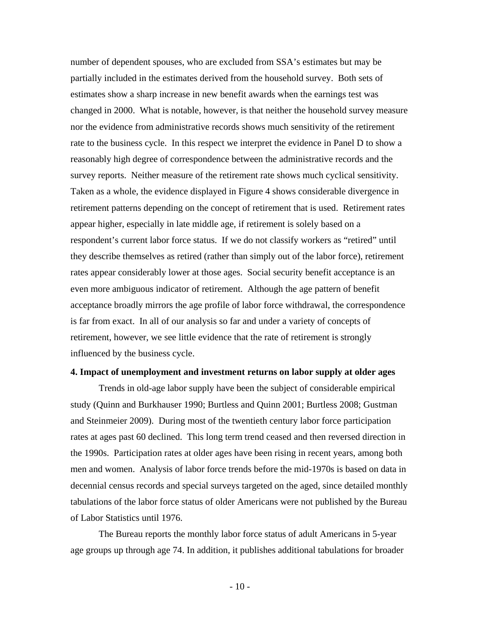number of dependent spouses, who are excluded from SSA's estimates but may be partially included in the estimates derived from the household survey. Both sets of estimates show a sharp increase in new benefit awards when the earnings test was changed in 2000. What is notable, however, is that neither the household survey measure nor the evidence from administrative records shows much sensitivity of the retirement rate to the business cycle. In this respect we interpret the evidence in Panel D to show a reasonably high degree of correspondence between the administrative records and the survey reports. Neither measure of the retirement rate shows much cyclical sensitivity. Taken as a whole, the evidence displayed in Figure 4 shows considerable divergence in retirement patterns depending on the concept of retirement that is used. Retirement rates appear higher, especially in late middle age, if retirement is solely based on a respondent's current labor force status. If we do not classify workers as "retired" until they describe themselves as retired (rather than simply out of the labor force), retirement rates appear considerably lower at those ages. Social security benefit acceptance is an even more ambiguous indicator of retirement. Although the age pattern of benefit acceptance broadly mirrors the age profile of labor force withdrawal, the correspondence is far from exact. In all of our analysis so far and under a variety of concepts of retirement, however, we see little evidence that the rate of retirement is strongly influenced by the business cycle.

#### **4. Impact of unemployment and investment returns on labor supply at older ages**

Trends in old-age labor supply have been the subject of considerable empirical study (Quinn and Burkhauser 1990; Burtless and Quinn 2001; Burtless 2008; Gustman and Steinmeier 2009). During most of the twentieth century labor force participation rates at ages past 60 declined. This long term trend ceased and then reversed direction in the 1990s. Participation rates at older ages have been rising in recent years, among both men and women. Analysis of labor force trends before the mid-1970s is based on data in decennial census records and special surveys targeted on the aged, since detailed monthly tabulations of the labor force status of older Americans were not published by the Bureau of Labor Statistics until 1976.

The Bureau reports the monthly labor force status of adult Americans in 5-year age groups up through age 74. In addition, it publishes additional tabulations for broader

 $-10-$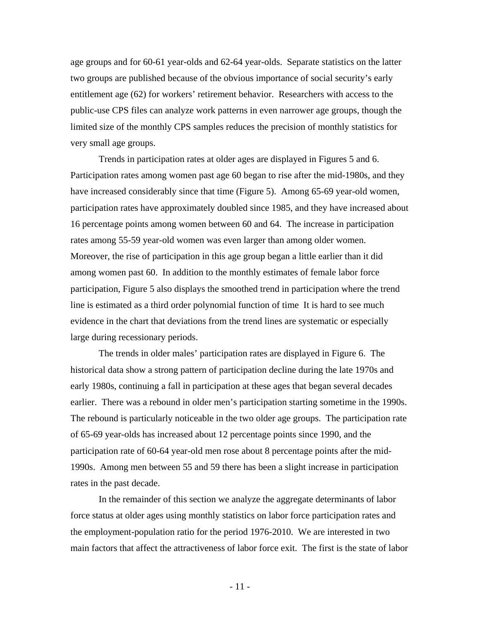age groups and for 60-61 year-olds and 62-64 year-olds. Separate statistics on the latter two groups are published because of the obvious importance of social security's early entitlement age (62) for workers' retirement behavior. Researchers with access to the public-use CPS files can analyze work patterns in even narrower age groups, though the limited size of the monthly CPS samples reduces the precision of monthly statistics for very small age groups.

Trends in participation rates at older ages are displayed in Figures 5 and 6. Participation rates among women past age 60 began to rise after the mid-1980s, and they have increased considerably since that time (Figure 5). Among 65-69 year-old women, participation rates have approximately doubled since 1985, and they have increased about 16 percentage points among women between 60 and 64. The increase in participation rates among 55-59 year-old women was even larger than among older women. Moreover, the rise of participation in this age group began a little earlier than it did among women past 60. In addition to the monthly estimates of female labor force participation, Figure 5 also displays the smoothed trend in participation where the trend line is estimated as a third order polynomial function of time It is hard to see much evidence in the chart that deviations from the trend lines are systematic or especially large during recessionary periods.

The trends in older males' participation rates are displayed in Figure 6. The historical data show a strong pattern of participation decline during the late 1970s and early 1980s, continuing a fall in participation at these ages that began several decades earlier. There was a rebound in older men's participation starting sometime in the 1990s. The rebound is particularly noticeable in the two older age groups. The participation rate of 65-69 year-olds has increased about 12 percentage points since 1990, and the participation rate of 60-64 year-old men rose about 8 percentage points after the mid-1990s. Among men between 55 and 59 there has been a slight increase in participation rates in the past decade.

In the remainder of this section we analyze the aggregate determinants of labor force status at older ages using monthly statistics on labor force participation rates and the employment-population ratio for the period 1976-2010. We are interested in two main factors that affect the attractiveness of labor force exit. The first is the state of labor

- 11 -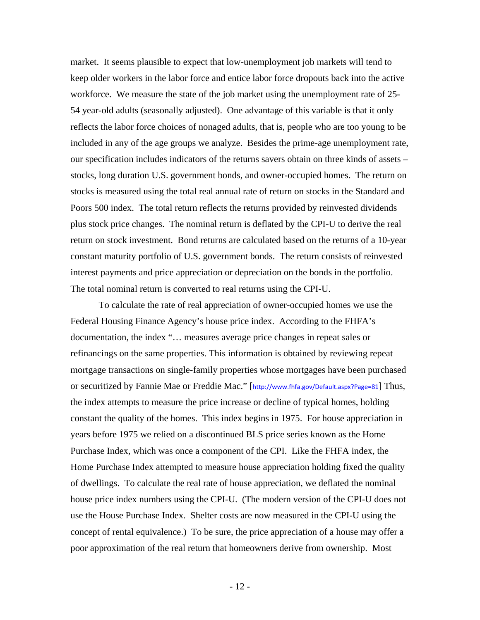market. It seems plausible to expect that low-unemployment job markets will tend to keep older workers in the labor force and entice labor force dropouts back into the active workforce. We measure the state of the job market using the unemployment rate of 25- 54 year-old adults (seasonally adjusted). One advantage of this variable is that it only reflects the labor force choices of nonaged adults, that is, people who are too young to be included in any of the age groups we analyze. Besides the prime-age unemployment rate, our specification includes indicators of the returns savers obtain on three kinds of assets – stocks, long duration U.S. government bonds, and owner-occupied homes. The return on stocks is measured using the total real annual rate of return on stocks in the Standard and Poors 500 index. The total return reflects the returns provided by reinvested dividends plus stock price changes. The nominal return is deflated by the CPI-U to derive the real return on stock investment. Bond returns are calculated based on the returns of a 10-year constant maturity portfolio of U.S. government bonds. The return consists of reinvested interest payments and price appreciation or depreciation on the bonds in the portfolio. The total nominal return is converted to real returns using the CPI-U.

To calculate the rate of real appreciation of owner-occupied homes we use the Federal Housing Finance Agency's house price index. According to the FHFA's documentation, the index "… measures average price changes in repeat sales or refinancings on the same properties. This information is obtained by reviewing repeat mortgage transactions on single-family properties whose mortgages have been purchased or securitized by Fannie Mae or Freddie Mac." [http://www.fhfa.gov/Default.aspx?Page=81] Thus, the index attempts to measure the price increase or decline of typical homes, holding constant the quality of the homes. This index begins in 1975. For house appreciation in years before 1975 we relied on a discontinued BLS price series known as the Home Purchase Index, which was once a component of the CPI. Like the FHFA index, the Home Purchase Index attempted to measure house appreciation holding fixed the quality of dwellings. To calculate the real rate of house appreciation, we deflated the nominal house price index numbers using the CPI-U. (The modern version of the CPI-U does not use the House Purchase Index. Shelter costs are now measured in the CPI-U using the concept of rental equivalence.) To be sure, the price appreciation of a house may offer a poor approximation of the real return that homeowners derive from ownership. Most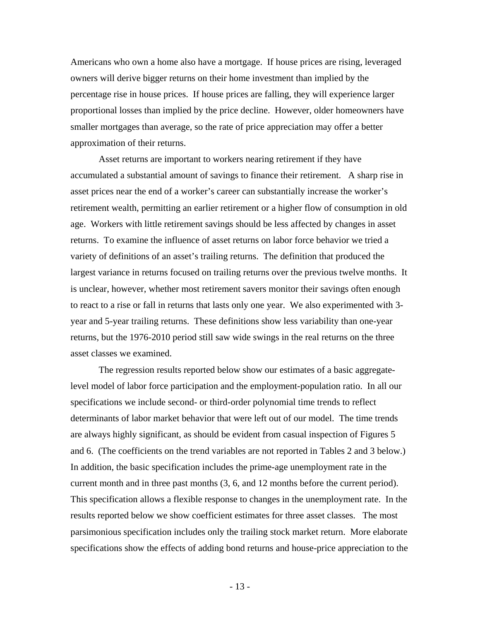Americans who own a home also have a mortgage. If house prices are rising, leveraged owners will derive bigger returns on their home investment than implied by the percentage rise in house prices. If house prices are falling, they will experience larger proportional losses than implied by the price decline. However, older homeowners have smaller mortgages than average, so the rate of price appreciation may offer a better approximation of their returns.

Asset returns are important to workers nearing retirement if they have accumulated a substantial amount of savings to finance their retirement. A sharp rise in asset prices near the end of a worker's career can substantially increase the worker's retirement wealth, permitting an earlier retirement or a higher flow of consumption in old age. Workers with little retirement savings should be less affected by changes in asset returns. To examine the influence of asset returns on labor force behavior we tried a variety of definitions of an asset's trailing returns. The definition that produced the largest variance in returns focused on trailing returns over the previous twelve months. It is unclear, however, whether most retirement savers monitor their savings often enough to react to a rise or fall in returns that lasts only one year. We also experimented with 3 year and 5-year trailing returns. These definitions show less variability than one-year returns, but the 1976-2010 period still saw wide swings in the real returns on the three asset classes we examined.

The regression results reported below show our estimates of a basic aggregatelevel model of labor force participation and the employment-population ratio. In all our specifications we include second- or third-order polynomial time trends to reflect determinants of labor market behavior that were left out of our model. The time trends are always highly significant, as should be evident from casual inspection of Figures 5 and 6. (The coefficients on the trend variables are not reported in Tables 2 and 3 below.) In addition, the basic specification includes the prime-age unemployment rate in the current month and in three past months (3, 6, and 12 months before the current period). This specification allows a flexible response to changes in the unemployment rate. In the results reported below we show coefficient estimates for three asset classes. The most parsimonious specification includes only the trailing stock market return. More elaborate specifications show the effects of adding bond returns and house-price appreciation to the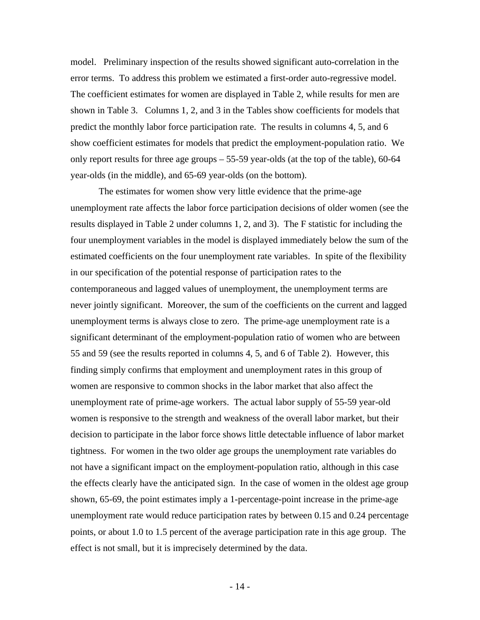model. Preliminary inspection of the results showed significant auto-correlation in the error terms. To address this problem we estimated a first-order auto-regressive model. The coefficient estimates for women are displayed in Table 2, while results for men are shown in Table 3. Columns 1, 2, and 3 in the Tables show coefficients for models that predict the monthly labor force participation rate. The results in columns 4, 5, and 6 show coefficient estimates for models that predict the employment-population ratio. We only report results for three age groups – 55-59 year-olds (at the top of the table), 60-64 year-olds (in the middle), and 65-69 year-olds (on the bottom).

The estimates for women show very little evidence that the prime-age unemployment rate affects the labor force participation decisions of older women (see the results displayed in Table 2 under columns 1, 2, and 3). The F statistic for including the four unemployment variables in the model is displayed immediately below the sum of the estimated coefficients on the four unemployment rate variables. In spite of the flexibility in our specification of the potential response of participation rates to the contemporaneous and lagged values of unemployment, the unemployment terms are never jointly significant. Moreover, the sum of the coefficients on the current and lagged unemployment terms is always close to zero. The prime-age unemployment rate is a significant determinant of the employment-population ratio of women who are between 55 and 59 (see the results reported in columns 4, 5, and 6 of Table 2). However, this finding simply confirms that employment and unemployment rates in this group of women are responsive to common shocks in the labor market that also affect the unemployment rate of prime-age workers. The actual labor supply of 55-59 year-old women is responsive to the strength and weakness of the overall labor market, but their decision to participate in the labor force shows little detectable influence of labor market tightness. For women in the two older age groups the unemployment rate variables do not have a significant impact on the employment-population ratio, although in this case the effects clearly have the anticipated sign. In the case of women in the oldest age group shown, 65-69, the point estimates imply a 1-percentage-point increase in the prime-age unemployment rate would reduce participation rates by between 0.15 and 0.24 percentage points, or about 1.0 to 1.5 percent of the average participation rate in this age group. The effect is not small, but it is imprecisely determined by the data.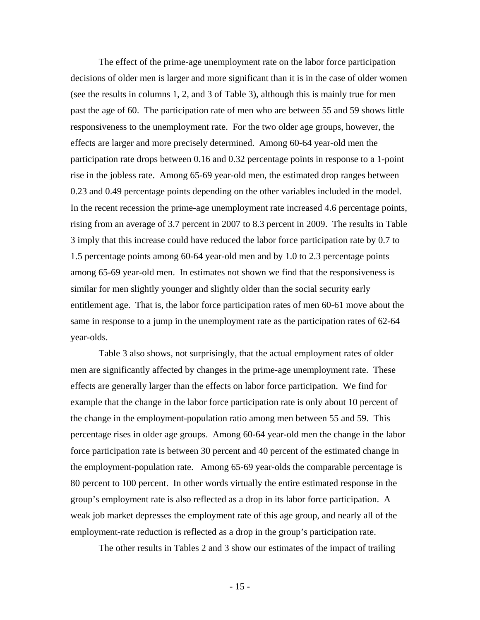The effect of the prime-age unemployment rate on the labor force participation decisions of older men is larger and more significant than it is in the case of older women (see the results in columns 1, 2, and 3 of Table 3), although this is mainly true for men past the age of 60. The participation rate of men who are between 55 and 59 shows little responsiveness to the unemployment rate. For the two older age groups, however, the effects are larger and more precisely determined. Among 60-64 year-old men the participation rate drops between 0.16 and 0.32 percentage points in response to a 1-point rise in the jobless rate. Among 65-69 year-old men, the estimated drop ranges between 0.23 and 0.49 percentage points depending on the other variables included in the model. In the recent recession the prime-age unemployment rate increased 4.6 percentage points, rising from an average of 3.7 percent in 2007 to 8.3 percent in 2009. The results in Table 3 imply that this increase could have reduced the labor force participation rate by 0.7 to 1.5 percentage points among 60-64 year-old men and by 1.0 to 2.3 percentage points among 65-69 year-old men. In estimates not shown we find that the responsiveness is similar for men slightly younger and slightly older than the social security early entitlement age. That is, the labor force participation rates of men 60-61 move about the same in response to a jump in the unemployment rate as the participation rates of 62-64 year-olds.

Table 3 also shows, not surprisingly, that the actual employment rates of older men are significantly affected by changes in the prime-age unemployment rate. These effects are generally larger than the effects on labor force participation. We find for example that the change in the labor force participation rate is only about 10 percent of the change in the employment-population ratio among men between 55 and 59. This percentage rises in older age groups. Among 60-64 year-old men the change in the labor force participation rate is between 30 percent and 40 percent of the estimated change in the employment-population rate. Among 65-69 year-olds the comparable percentage is 80 percent to 100 percent. In other words virtually the entire estimated response in the group's employment rate is also reflected as a drop in its labor force participation. A weak job market depresses the employment rate of this age group, and nearly all of the employment-rate reduction is reflected as a drop in the group's participation rate.

The other results in Tables 2 and 3 show our estimates of the impact of trailing

- 15 -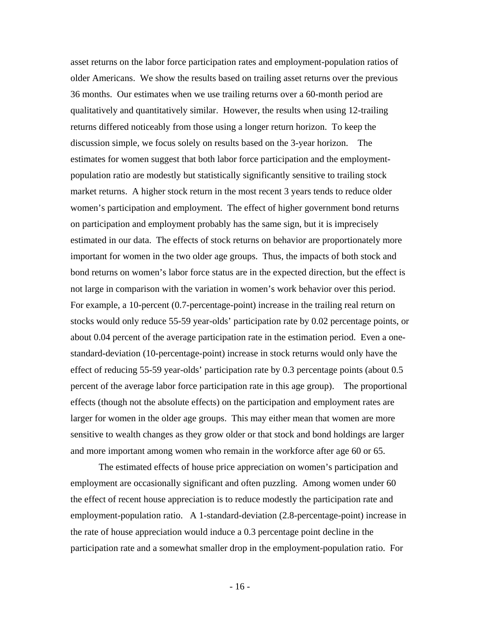asset returns on the labor force participation rates and employment-population ratios of older Americans. We show the results based on trailing asset returns over the previous 36 months. Our estimates when we use trailing returns over a 60-month period are qualitatively and quantitatively similar. However, the results when using 12-trailing returns differed noticeably from those using a longer return horizon. To keep the discussion simple, we focus solely on results based on the 3-year horizon. The estimates for women suggest that both labor force participation and the employmentpopulation ratio are modestly but statistically significantly sensitive to trailing stock market returns. A higher stock return in the most recent 3 years tends to reduce older women's participation and employment. The effect of higher government bond returns on participation and employment probably has the same sign, but it is imprecisely estimated in our data. The effects of stock returns on behavior are proportionately more important for women in the two older age groups. Thus, the impacts of both stock and bond returns on women's labor force status are in the expected direction, but the effect is not large in comparison with the variation in women's work behavior over this period. For example, a 10-percent (0.7-percentage-point) increase in the trailing real return on stocks would only reduce 55-59 year-olds' participation rate by 0.02 percentage points, or about 0.04 percent of the average participation rate in the estimation period. Even a onestandard-deviation (10-percentage-point) increase in stock returns would only have the effect of reducing 55-59 year-olds' participation rate by 0.3 percentage points (about 0.5 percent of the average labor force participation rate in this age group). The proportional effects (though not the absolute effects) on the participation and employment rates are larger for women in the older age groups. This may either mean that women are more sensitive to wealth changes as they grow older or that stock and bond holdings are larger and more important among women who remain in the workforce after age 60 or 65.

The estimated effects of house price appreciation on women's participation and employment are occasionally significant and often puzzling. Among women under 60 the effect of recent house appreciation is to reduce modestly the participation rate and employment-population ratio. A 1-standard-deviation (2.8-percentage-point) increase in the rate of house appreciation would induce a 0.3 percentage point decline in the participation rate and a somewhat smaller drop in the employment-population ratio. For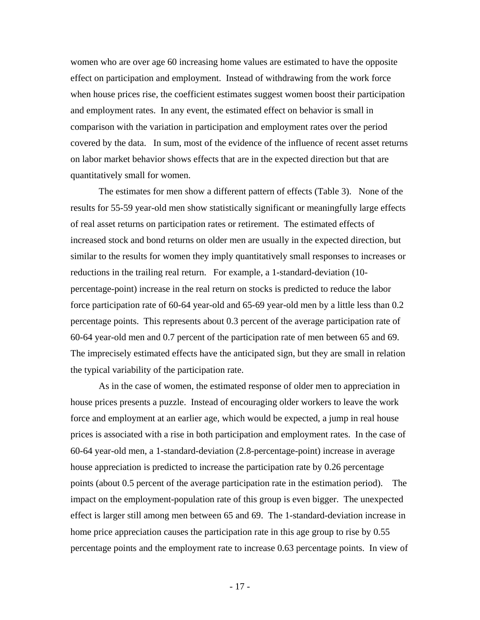women who are over age 60 increasing home values are estimated to have the opposite effect on participation and employment. Instead of withdrawing from the work force when house prices rise, the coefficient estimates suggest women boost their participation and employment rates. In any event, the estimated effect on behavior is small in comparison with the variation in participation and employment rates over the period covered by the data. In sum, most of the evidence of the influence of recent asset returns on labor market behavior shows effects that are in the expected direction but that are quantitatively small for women.

The estimates for men show a different pattern of effects (Table 3). None of the results for 55-59 year-old men show statistically significant or meaningfully large effects of real asset returns on participation rates or retirement. The estimated effects of increased stock and bond returns on older men are usually in the expected direction, but similar to the results for women they imply quantitatively small responses to increases or reductions in the trailing real return. For example, a 1-standard-deviation (10 percentage-point) increase in the real return on stocks is predicted to reduce the labor force participation rate of 60-64 year-old and 65-69 year-old men by a little less than 0.2 percentage points. This represents about 0.3 percent of the average participation rate of 60-64 year-old men and 0.7 percent of the participation rate of men between 65 and 69. The imprecisely estimated effects have the anticipated sign, but they are small in relation the typical variability of the participation rate.

As in the case of women, the estimated response of older men to appreciation in house prices presents a puzzle. Instead of encouraging older workers to leave the work force and employment at an earlier age, which would be expected, a jump in real house prices is associated with a rise in both participation and employment rates. In the case of 60-64 year-old men, a 1-standard-deviation (2.8-percentage-point) increase in average house appreciation is predicted to increase the participation rate by 0.26 percentage points (about 0.5 percent of the average participation rate in the estimation period). The impact on the employment-population rate of this group is even bigger. The unexpected effect is larger still among men between 65 and 69. The 1-standard-deviation increase in home price appreciation causes the participation rate in this age group to rise by 0.55 percentage points and the employment rate to increase 0.63 percentage points. In view of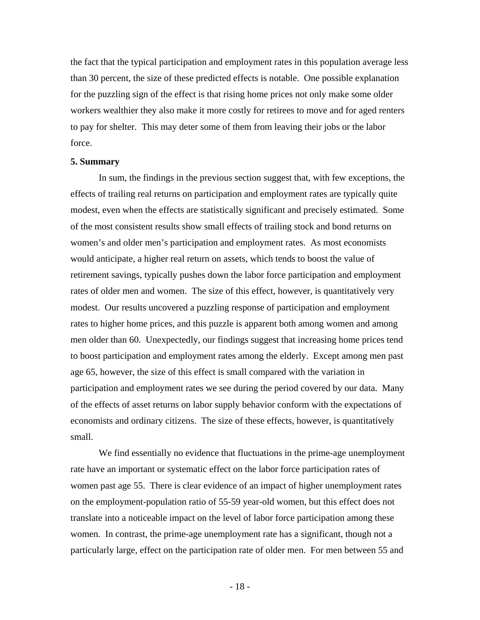the fact that the typical participation and employment rates in this population average less than 30 percent, the size of these predicted effects is notable. One possible explanation for the puzzling sign of the effect is that rising home prices not only make some older workers wealthier they also make it more costly for retirees to move and for aged renters to pay for shelter. This may deter some of them from leaving their jobs or the labor force.

#### **5. Summary**

In sum, the findings in the previous section suggest that, with few exceptions, the effects of trailing real returns on participation and employment rates are typically quite modest, even when the effects are statistically significant and precisely estimated. Some of the most consistent results show small effects of trailing stock and bond returns on women's and older men's participation and employment rates. As most economists would anticipate, a higher real return on assets, which tends to boost the value of retirement savings, typically pushes down the labor force participation and employment rates of older men and women. The size of this effect, however, is quantitatively very modest. Our results uncovered a puzzling response of participation and employment rates to higher home prices, and this puzzle is apparent both among women and among men older than 60. Unexpectedly, our findings suggest that increasing home prices tend to boost participation and employment rates among the elderly. Except among men past age 65, however, the size of this effect is small compared with the variation in participation and employment rates we see during the period covered by our data. Many of the effects of asset returns on labor supply behavior conform with the expectations of economists and ordinary citizens. The size of these effects, however, is quantitatively small.

We find essentially no evidence that fluctuations in the prime-age unemployment rate have an important or systematic effect on the labor force participation rates of women past age 55. There is clear evidence of an impact of higher unemployment rates on the employment-population ratio of 55-59 year-old women, but this effect does not translate into a noticeable impact on the level of labor force participation among these women. In contrast, the prime-age unemployment rate has a significant, though not a particularly large, effect on the participation rate of older men. For men between 55 and

- 18 -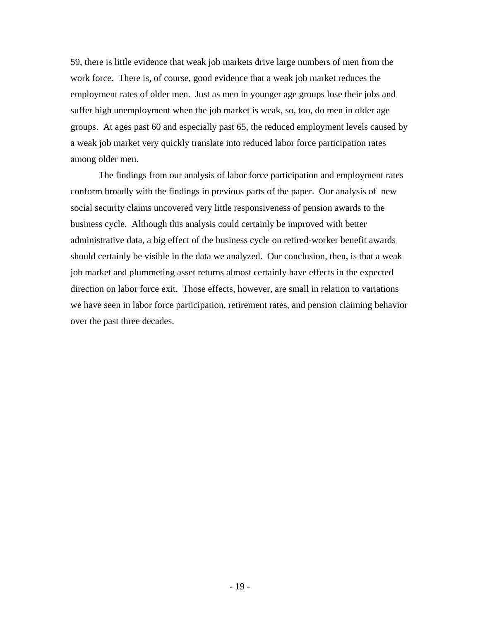59, there is little evidence that weak job markets drive large numbers of men from the work force. There is, of course, good evidence that a weak job market reduces the employment rates of older men. Just as men in younger age groups lose their jobs and suffer high unemployment when the job market is weak, so, too, do men in older age groups. At ages past 60 and especially past 65, the reduced employment levels caused by a weak job market very quickly translate into reduced labor force participation rates among older men.

The findings from our analysis of labor force participation and employment rates conform broadly with the findings in previous parts of the paper. Our analysis of new social security claims uncovered very little responsiveness of pension awards to the business cycle. Although this analysis could certainly be improved with better administrative data, a big effect of the business cycle on retired-worker benefit awards should certainly be visible in the data we analyzed. Our conclusion, then, is that a weak job market and plummeting asset returns almost certainly have effects in the expected direction on labor force exit. Those effects, however, are small in relation to variations we have seen in labor force participation, retirement rates, and pension claiming behavior over the past three decades.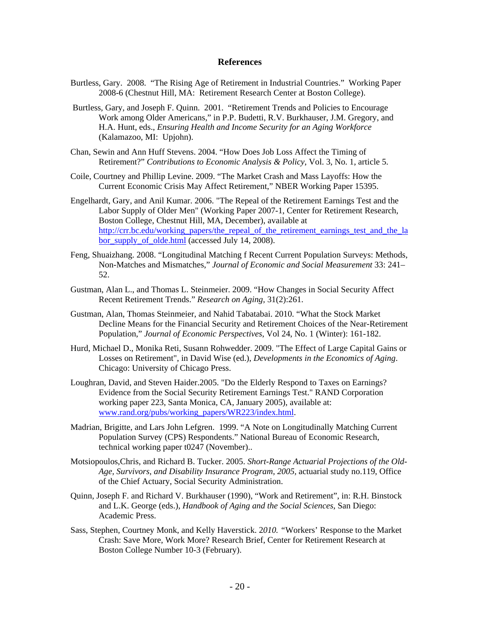#### **References**

- Burtless, Gary. 2008. "The Rising Age of Retirement in Industrial Countries." Working Paper 2008-6 (Chestnut Hill, MA: Retirement Research Center at Boston College).
- Burtless, Gary, and Joseph F. Quinn. 2001. "Retirement Trends and Policies to Encourage Work among Older Americans," in P.P. Budetti, R.V. Burkhauser, J.M. Gregory, and H.A. Hunt, eds., *Ensuring Health and Income Security for an Aging Workforce* (Kalamazoo, MI: Upjohn).
- Chan, Sewin and Ann Huff Stevens. 2004. "How Does Job Loss Affect the Timing of Retirement?" *Contributions to Economic Analysis & Policy*, Vol. 3, No. 1, article 5.
- Coile, Courtney and Phillip Levine. 2009. "The Market Crash and Mass Layoffs: How the Current Economic Crisis May Affect Retirement," NBER Working Paper 15395.
- Engelhardt, Gary, and Anil Kumar. 2006. "The Repeal of the Retirement Earnings Test and the Labor Supply of Older Men" (Working Paper 2007-1, Center for Retirement Research, Boston College, Chestnut Hill, MA, December), available at http://crr.bc.edu/working\_papers/the\_repeal\_of\_the\_retirement\_earnings\_test\_and\_the\_la bor\_supply\_of\_olde.html (accessed July 14, 2008).
- Feng, Shuaizhang. 2008. "Longitudinal Matching f Recent Current Population Surveys: Methods, Non-Matches and Mismatches," *Journal of Economic and Social Measurement* 33: 241– 52.
- Gustman, Alan L., and Thomas L. Steinmeier. 2009. "How Changes in Social Security Affect Recent Retirement Trends." *Research on Aging,* 31(2):261.
- Gustman, Alan, Thomas Steinmeier, and Nahid Tabatabai. 2010. "What the Stock Market Decline Means for the Financial Security and Retirement Choices of the Near-Retirement Population," *Journal of Economic Perspectives*, Vol 24, No. 1 (Winter): 161-182.
- Hurd, Michael D., Monika Reti, Susann Rohwedder. 2009. "The Effect of Large Capital Gains or Losses on Retirement", in David Wise (ed.), *Developments in the Economics of Aging*. Chicago: University of Chicago Press.
- Loughran, David, and Steven Haider.2005. "Do the Elderly Respond to Taxes on Earnings? Evidence from the Social Security Retirement Earnings Test." RAND Corporation working paper 223, Santa Monica, CA, January 2005), available at: www.rand.org/pubs/working\_papers/WR223/index.html.
- Madrian, Brigitte, and Lars John Lefgren. 1999. "A Note on Longitudinally Matching Current Population Survey (CPS) Respondents." National Bureau of Economic Research, technical working paper t0247 (November)..
- Motsiopoulos,Chris, and Richard B. Tucker. 2005. *Short-Range Actuarial Projections of the Old-Age, Survivors, and Disability Insurance Program, 2005,* actuarial study no.119, Office of the Chief Actuary, Social Security Administration.
- Quinn, Joseph F. and Richard V. Burkhauser (1990), "Work and Retirement", in: R.H. Binstock and L.K. George (eds.), *Handbook of Aging and the Social Sciences*, San Diego: Academic Press.
- Sass, Stephen, Courtney Monk, and Kelly Haverstick. 2*010. "*Workers' Response to the Market Crash: Save More, Work More? Research Brief, Center for Retirement Research at Boston College Number 10-3 (February).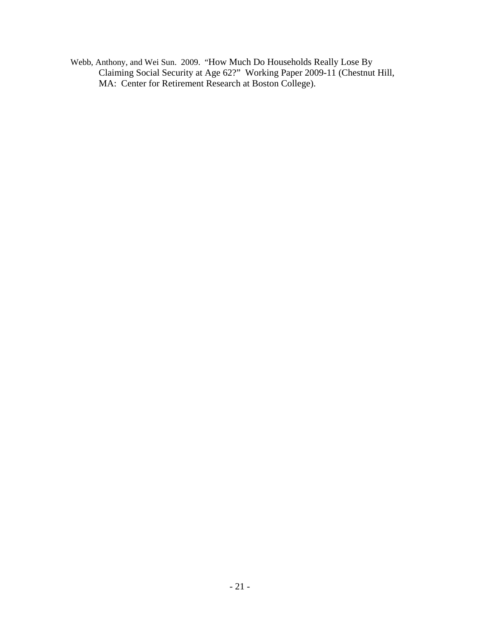Webb, Anthony, and Wei Sun. 2009. "How Much Do Households Really Lose By Claiming Social Security at Age 62?" Working Paper 2009-11 (Chestnut Hill, MA: Center for Retirement Research at Boston College).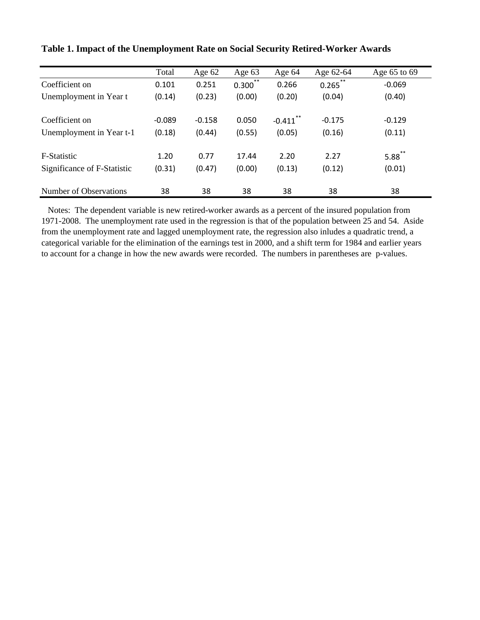|                             | Total    | Age $62$ | Age $63$    | Age $64$    | Age 62-64 | Age 65 to 69 |
|-----------------------------|----------|----------|-------------|-------------|-----------|--------------|
| Coefficient on              | 0.101    | 0.251    | **<br>0.300 | 0.266       | 0.265     | $-0.069$     |
| Unemployment in Year t      | (0.14)   | (0.23)   | (0.00)      | (0.20)      | (0.04)    | (0.40)       |
|                             |          |          |             |             |           |              |
| Coefficient on              | $-0.089$ | $-0.158$ | 0.050       | $-0.411$ ** | $-0.175$  | $-0.129$     |
| Unemployment in Year t-1    | (0.18)   | (0.44)   | (0.55)      | (0.05)      | (0.16)    | (0.11)       |
|                             |          |          |             |             |           |              |
| F-Statistic                 | 1.20     | 0.77     | 17.44       | 2.20        | 2.27      | $5.88^{**}$  |
| Significance of F-Statistic | (0.31)   | (0.47)   | (0.00)      | (0.13)      | (0.12)    | (0.01)       |
|                             |          |          |             |             |           |              |
| Number of Observations      | 38       | 38       | 38          | 38          | 38        | 38           |

**Table 1. Impact of the Unemployment Rate on Social Security Retired-Worker Awards**

 Notes: The dependent variable is new retired-worker awards as a percent of the insured population from 1971-2008. The unemployment rate used in the regression is that of the population between 25 and 54. Aside from the unemployment rate and lagged unemployment rate, the regression also inludes a quadratic trend, a categorical variable for the elimination of the earnings test in 2000, and a shift term for 1984 and earlier years to account for a change in how the new awards were recorded. The numbers in parentheses are p-values.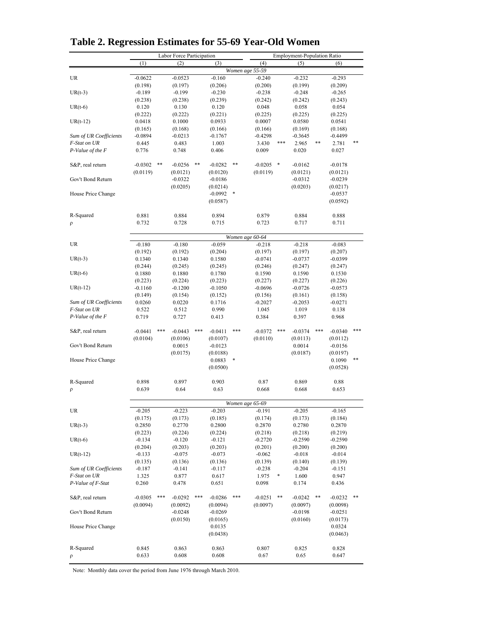|                        | Labor Force Participation |     |                     |     |                     |        | <b>Employment-Population Ratio</b> |        |                      |     |                     |       |
|------------------------|---------------------------|-----|---------------------|-----|---------------------|--------|------------------------------------|--------|----------------------|-----|---------------------|-------|
|                        | (1)                       |     | (2)                 |     | (3)                 |        | (4)                                |        | (5)                  |     | (6)                 |       |
|                        |                           |     |                     |     |                     |        | Women age 55-59                    |        |                      |     |                     |       |
| <b>UR</b>              | $-0.0622$                 |     | $-0.0523$           |     | $-0.160$            |        | $-0.240$                           |        | $-0.232$             |     | $-0.293$            |       |
| $UR(t-3)$              | (0.198)<br>$-0.189$       |     | (0.197)<br>$-0.199$ |     | (0.206)<br>$-0.230$ |        | (0.200)<br>$-0.238$                |        | (0.199)<br>$-0.248$  |     | (0.209)<br>$-0.265$ |       |
|                        | (0.238)                   |     | (0.238)             |     | (0.239)             |        | (0.242)                            |        | (0.242)              |     | (0.243)             |       |
| $UR(t-6)$              | 0.120                     |     | 0.130               |     | 0.120               |        | 0.048                              |        | 0.058                |     | 0.054               |       |
|                        | (0.222)                   |     | (0.222)             |     | (0.221)             |        | (0.225)                            |        | (0.225)              |     | (0.225)             |       |
| $UR(t-12)$             | 0.0418                    |     | 0.1000              |     | 0.0933              |        | 0.0007                             |        | 0.0580               |     | 0.0541              |       |
|                        | (0.165)                   |     | (0.168)             |     | (0.166)             |        | (0.166)                            |        | (0.169)              |     | (0.168)             |       |
| Sum of UR Coefficients | $-0.0894$                 |     | $-0.0213$           |     | $-0.1767$           |        | $-0.4298$                          |        | $-0.3645$            |     | $-0.4499$           | $***$ |
| F-Stat on UR           | 0.445                     |     | 0.483               |     | 1.003               |        | 3.430                              | ***    | 2.965                | **  | 2.781               |       |
| P-Value of the F       | 0.776                     |     | 0.748               |     | 0.406               |        | 0.009                              |        | 0.020                |     | 0.027               |       |
| S&P, real return       | $-0.0302$                 | **  | $-0.0256$           | **  | $-0.0282$           | $***$  | $-0.0205$                          | $\ast$ | $-0.0162$            |     | $-0.0178$           |       |
|                        | (0.0119)                  |     | (0.0121)            |     | (0.0120)            |        | (0.0119)                           |        | (0.0121)             |     | (0.0121)            |       |
| Gov't Bond Return      |                           |     | $-0.0322$           |     | $-0.0186$           |        |                                    |        | $-0.0312$            |     | $-0.0239$           |       |
|                        |                           |     | (0.0205)            |     | (0.0214)            |        |                                    |        | (0.0203)             |     | (0.0217)            |       |
| House Price Change     |                           |     |                     |     | $-0.0992$           | *      |                                    |        |                      |     | $-0.0537$           |       |
|                        |                           |     |                     |     | (0.0587)            |        |                                    |        |                      |     | (0.0592)            |       |
| R-Squared              | 0.881                     |     | 0.884               |     | 0.894               |        | 0.879                              |        | 0.884                |     | 0.888               |       |
| $\rho$                 | 0.732                     |     | 0.728               |     | 0.715               |        | 0.723                              |        | 0.717                |     | 0.711               |       |
|                        |                           |     |                     |     |                     |        |                                    |        |                      |     |                     |       |
|                        |                           |     |                     |     |                     |        | Women age 60-64                    |        |                      |     |                     |       |
| UR                     | $-0.180$                  |     | $-0.180$            |     | $-0.059$<br>(0.204) |        | $-0.218$                           |        | $-0.218$             |     | $-0.083$<br>(0.207) |       |
| $UR(t-3)$              | (0.192)<br>0.1340         |     | (0.192)<br>0.1340   |     | 0.1580              |        | (0.197)<br>$-0.0741$               |        | (0.197)<br>$-0.0737$ |     | $-0.0399$           |       |
|                        | (0.244)                   |     | (0.245)             |     | (0.245)             |        | (0.246)                            |        | (0.247)              |     | (0.247)             |       |
| $UR(t-6)$              | 0.1880                    |     | 0.1880              |     | 0.1780              |        | 0.1590                             |        | 0.1590               |     | 0.1530              |       |
|                        | (0.223)                   |     | (0.224)             |     | (0.223)             |        | (0.227)                            |        | (0.227)              |     | (0.226)             |       |
| $UR(t-12)$             | $-0.1160$                 |     | $-0.1200$           |     | $-0.1050$           |        | $-0.0696$                          |        | $-0.0726$            |     | $-0.0573$           |       |
|                        | (0.149)                   |     | (0.154)             |     | (0.152)             |        | (0.156)                            |        | (0.161)              |     | (0.158)             |       |
| Sum of UR Coefficients | 0.0260                    |     | 0.0220              |     | 0.1716              |        | $-0.2027$                          |        | $-0.2053$            |     | $-0.0271$           |       |
| F-Stat on UR           | 0.522                     |     | 0.512               |     | 0.990               |        | 1.045                              |        | 1.019                |     | 0.138               |       |
| P-Value of the F       | 0.719                     |     | 0.727               |     | 0.413               |        | 0.384                              |        | 0.397                |     | 0.968               |       |
| S&P, real return       | $-0.0441$                 | *** | $-0.0443$           | *** | $-0.0411$           | ***    | $-0.0372$                          | ***    | $-0.0374$            | *** | $-0.0340$           | ***   |
|                        | (0.0104)                  |     | (0.0106)            |     | (0.0107)            |        | (0.0110)                           |        | (0.0113)             |     | (0.0112)            |       |
| Gov't Bond Return      |                           |     | 0.0015              |     | $-0.0123$           |        |                                    |        | 0.0014               |     | $-0.0156$           |       |
|                        |                           |     | (0.0175)            |     | (0.0188)            |        |                                    |        | (0.0187)             |     | (0.0197)            |       |
| House Price Change     |                           |     |                     |     | 0.0883              | $\ast$ |                                    |        |                      |     | 0.1090              | **    |
|                        |                           |     |                     |     | (0.0500)            |        |                                    |        |                      |     | (0.0528)            |       |
| R-Squared              | 0.898                     |     | 0.897               |     | 0.903               |        | 0.87                               |        | 0.869                |     | 0.88                |       |
| $\rho$                 | 0.639                     |     | 0.64                |     | 0.63                |        | 0.668                              |        | 0.668                |     | 0.653               |       |
|                        |                           |     |                     |     |                     |        |                                    |        |                      |     |                     |       |
|                        |                           |     |                     |     |                     |        | Women age 65-69                    |        |                      |     |                     |       |
| UR                     | $-0.205$                  |     | $-0.223$            |     | $-0.203$            |        | $-0.191$                           |        | $-0.205$             |     | $-0.165$            |       |
|                        | (0.175)                   |     | (0.173)             |     | (0.185)             |        | (0.174)                            |        | (0.173)              |     | (0.184)             |       |
| $UR(t-3)$              | 0.2850<br>(0.223)         |     | 0.2770<br>(0.224)   |     | 0.2800<br>(0.224)   |        | 0.2870<br>(0.218)                  |        | 0.2780<br>(0.218)    |     | 0.2870<br>(0.219)   |       |
| $UR(t-6)$              | $-0.134$                  |     | $-0.120$            |     | $-0.121$            |        | $-0.2720$                          |        | $-0.2590$            |     | $-0.2590$           |       |
|                        | (0.204)                   |     | (0.203)             |     | (0.203)             |        | (0.201)                            |        | (0.200)              |     | (0.200)             |       |
| $UR(t-12)$             | $-0.133$                  |     | $-0.075$            |     | $-0.073$            |        | $-0.062$                           |        | $-0.018$             |     | $-0.014$            |       |
|                        | (0.135)                   |     | (0.136)             |     | (0.136)             |        | (0.139)                            |        | (0.140)              |     | (0.139)             |       |
| Sum of UR Coefficients | $-0.187$                  |     | $-0.141$            |     | $-0.117$            |        | $-0.238$                           |        | $-0.204$             |     | $-0.151$            |       |
| F-Stat on UR           | 1.325                     |     | 0.877               |     | 0.617               |        | 1.975                              | *      | 1.600                |     | 0.947               |       |
| P-Value of F-Stat      | 0.260                     |     | 0.478               |     | 0.651               |        | 0.098                              |        | 0.174                |     | 0.436               |       |
| S&P, real return       | $-0.0305$                 | *** | $-0.0292$           | *** | $-0.0286$           | ***    | $-0.0251$                          | **     | $-0.0242$            | **  | $-0.0232$           | **    |
|                        | (0.0094)                  |     | (0.0092)            |     | (0.0094)            |        | (0.0097)                           |        | (0.0097)             |     | (0.0098)            |       |
| Gov't Bond Return      |                           |     | $-0.0248$           |     | $-0.0269$           |        |                                    |        | $-0.0198$            |     | $-0.0251$           |       |
|                        |                           |     | (0.0150)            |     | (0.0165)            |        |                                    |        | (0.0160)             |     | (0.0173)            |       |
| House Price Change     |                           |     |                     |     | 0.0135              |        |                                    |        |                      |     | 0.0324              |       |
|                        |                           |     |                     |     | (0.0438)            |        |                                    |        |                      |     | (0.0463)            |       |
|                        |                           |     |                     |     |                     |        |                                    |        |                      |     |                     |       |
| R-Squared              | 0.845                     |     | 0.863               |     | 0.863               |        | 0.807                              |        | 0.825                |     | 0.828               |       |
| $\rho$                 | 0.633                     |     | 0.608               |     | 0.608               |        | 0.67                               |        | 0.65                 |     | 0.647               |       |

## **Table 2. Regression Estimates for 55-69 Year-Old Women**

Note: Monthly data cover the period from June 1976 through March 2010.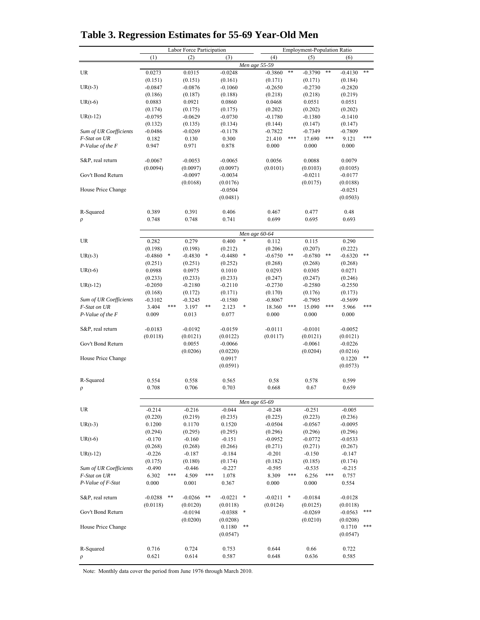|                                        | Labor Force Participation |     |                |     |                | <b>Employment-Population Ratio</b> |                     |       |                 |       |                    |       |
|----------------------------------------|---------------------------|-----|----------------|-----|----------------|------------------------------------|---------------------|-------|-----------------|-------|--------------------|-------|
|                                        | (1)                       |     | (2)            |     | (3)            |                                    | (4)                 |       | (5)             |       | (6)                |       |
|                                        |                           |     |                |     |                | Men age 55-59                      |                     |       |                 |       |                    |       |
| UR                                     | 0.0273                    |     | 0.0315         |     | $-0.0248$      |                                    | $-0.3860$           | $***$ | $-0.3790$       | $***$ | $-0.4130$          | $***$ |
|                                        | (0.151)                   |     | (0.151)        |     | (0.161)        |                                    | (0.171)             |       | (0.171)         |       | (0.184)            |       |
| $UR(t-3)$                              | $-0.0847$                 |     | $-0.0876$      |     | $-0.1060$      |                                    | $-0.2650$           |       | $-0.2730$       |       | $-0.2820$          |       |
|                                        | (0.186)                   |     | (0.187)        |     | (0.188)        |                                    | (0.218)             |       | (0.218)         |       | (0.219)            |       |
| $UR(t-6)$                              | 0.0883                    |     | 0.0921         |     | 0.0860         |                                    | 0.0468              |       | 0.0551          |       | 0.0551             |       |
|                                        | (0.174)                   |     | (0.175)        |     | (0.175)        |                                    | (0.202)             |       | (0.202)         |       | (0.202)            |       |
| $UR(t-12)$                             | $-0.0795$                 |     | $-0.0629$      |     | $-0.0730$      |                                    | $-0.1780$           |       | $-0.1380$       |       | $-0.1410$          |       |
| Sum of UR Coefficients                 | (0.132)                   |     | (0.135)        |     | (0.134)        |                                    | (0.144)             |       | (0.147)         |       | (0.147)            |       |
| F-Stat on UR                           | $-0.0486$                 |     | $-0.0269$      |     | $-0.1178$      |                                    | $-0.7822$<br>21.410 | ***   | $-0.7349$       | ***   | $-0.7809$<br>9.121 | ***   |
| P-Value of the F                       | 0.182<br>0.947            |     | 0.130          |     | 0.300<br>0.878 |                                    |                     |       | 17.690          |       | 0.000              |       |
|                                        |                           |     | 0.971          |     |                |                                    | 0.000               |       | 0.000           |       |                    |       |
| S&P, real return                       | $-0.0067$                 |     | $-0.0053$      |     | $-0.0065$      |                                    | 0.0056              |       | 0.0088          |       | 0.0079             |       |
|                                        | (0.0094)                  |     | (0.0097)       |     | (0.0097)       |                                    | (0.0101)            |       | (0.0103)        |       | (0.0105)           |       |
| Gov't Bond Return                      |                           |     | $-0.0097$      |     | $-0.0034$      |                                    |                     |       | $-0.0211$       |       | $-0.0177$          |       |
|                                        |                           |     | (0.0168)       |     | (0.0176)       |                                    |                     |       | (0.0175)        |       | (0.0188)           |       |
| House Price Change                     |                           |     |                |     | $-0.0504$      |                                    |                     |       |                 |       | $-0.0251$          |       |
|                                        |                           |     |                |     | (0.0481)       |                                    |                     |       |                 |       | (0.0503)           |       |
|                                        |                           |     |                |     |                |                                    |                     |       |                 |       |                    |       |
| R-Squared                              | 0.389                     |     | 0.391          |     | 0.406          |                                    | 0.467               |       | 0.477           |       | 0.48               |       |
| $\rho$                                 | 0.748                     |     | 0.748          |     | 0.741          |                                    | 0.699               |       | 0.695           |       | 0.693              |       |
|                                        |                           |     |                |     |                |                                    |                     |       |                 |       |                    |       |
|                                        |                           |     |                |     |                | Men age 60-64                      |                     |       |                 |       |                    |       |
| UR                                     | 0.282                     |     | 0.279          |     | 0.400          |                                    | 0.112               |       | 0.115           |       | 0.290              |       |
|                                        | (0.198)                   |     | (0.198)        |     | (0.212)        |                                    | (0.206)             |       | (0.207)         |       | (0.222)            | $***$ |
| $UR(t-3)$                              | $-0.4860$                 | *   | $-0.4830$      | *   | $-0.4480$      | $\ast$                             | $-0.6750$           | $***$ | $-0.6780$       | $***$ | $-0.6320$          |       |
|                                        | (0.251)                   |     | (0.251)        |     | (0.252)        |                                    | (0.268)             |       | (0.268)         |       | (0.268)            |       |
| $UR(t-6)$                              | 0.0988                    |     | 0.0975         |     | 0.1010         |                                    | 0.0293              |       | 0.0305          |       | 0.0271             |       |
|                                        | (0.233)                   |     | (0.233)        |     | (0.233)        |                                    | (0.247)             |       | (0.247)         |       | (0.246)            |       |
| $UR(t-12)$                             | $-0.2050$                 |     | $-0.2180$      |     | $-0.2110$      |                                    | $-0.2730$           |       | $-0.2580$       |       | $-0.2550$          |       |
|                                        | (0.168)                   |     | (0.172)        |     | (0.171)        |                                    | (0.170)             |       | (0.176)         |       | (0.173)            |       |
| Sum of UR Coefficients<br>F-Stat on UR | $-0.3102$                 | *** | $-0.3245$      | **  | $-0.1580$      | *                                  | $-0.8067$           | ***   | $-0.7905$       | ***   | $-0.5699$          | ***   |
| P-Value of the F                       | 3.404<br>0.009            |     | 3.197<br>0.013 |     | 2.123<br>0.077 |                                    | 18.360<br>0.000     |       | 15.090<br>0.000 |       | 5.966<br>0.000     |       |
|                                        |                           |     |                |     |                |                                    |                     |       |                 |       |                    |       |
| S&P, real return                       | $-0.0183$                 |     | $-0.0192$      |     | $-0.0159$      |                                    | $-0.0111$           |       | $-0.0101$       |       | $-0.0052$          |       |
|                                        | (0.0118)                  |     | (0.0121)       |     | (0.0122)       |                                    | (0.0117)            |       | (0.0121)        |       | (0.0121)           |       |
| Gov't Bond Return                      |                           |     | 0.0055         |     | $-0.0066$      |                                    |                     |       | $-0.0061$       |       | $-0.0226$          |       |
|                                        |                           |     | (0.0206)       |     | (0.0220)       |                                    |                     |       | (0.0204)        |       | (0.0216)           |       |
| House Price Change                     |                           |     |                |     | 0.0917         |                                    |                     |       |                 |       | 0.1220             | $***$ |
|                                        |                           |     |                |     | (0.0591)       |                                    |                     |       |                 |       | (0.0573)           |       |
|                                        |                           |     |                |     |                |                                    |                     |       |                 |       |                    |       |
| R-Squared                              | 0.554                     |     | 0.558          |     | 0.565          |                                    | 0.58                |       | 0.578           |       | 0.599              |       |
| $\rho$                                 | 0.708                     |     | 0.706          |     | 0.703          |                                    | 0.668               |       | 0.67            |       | 0.659              |       |
|                                        |                           |     |                |     |                |                                    |                     |       |                 |       |                    |       |
| UR.                                    | $-0.214$                  |     | $-0.216$       |     | $-0.044$       | Men age 65-69                      | $-0.248$            |       | $-0.251$        |       | $-0.005$           |       |
|                                        | (0.220)                   |     | (0.219)        |     | (0.235)        |                                    | (0.225)             |       | (0.223)         |       | (0.236)            |       |
| $UR(t-3)$                              | 0.1200                    |     | 0.1170         |     | 0.1520         |                                    | $-0.0504$           |       | $-0.0567$       |       | $-0.0095$          |       |
|                                        | (0.294)                   |     | (0.295)        |     | (0.295)        |                                    | (0.296)             |       | (0.296)         |       | (0.296)            |       |
| $UR(t-6)$                              | $-0.170$                  |     | $-0.160$       |     | $-0.151$       |                                    | $-0.0952$           |       | $-0.0772$       |       | $-0.0533$          |       |
|                                        | (0.268)                   |     | (0.268)        |     | (0.266)        |                                    | (0.271)             |       | (0.271)         |       | (0.267)            |       |
| $UR(t-12)$                             | $-0.226$                  |     | $-0.187$       |     | $-0.184$       |                                    | $-0.201$            |       | $-0.150$        |       | $-0.147$           |       |
|                                        | (0.175)                   |     | (0.180)        |     | (0.174)        |                                    | (0.182)             |       | (0.185)         |       | (0.174)            |       |
| Sum of UR Coefficients                 | $-0.490$                  |     | $-0.446$       |     | $-0.227$       |                                    | $-0.595$            |       | $-0.535$        |       | $-0.215$           |       |
| F-Stat on UR                           | 6.302                     | *** | 4.509          | *** | 1.078          |                                    | 8.309               | ***   | 6.256           | ***   | 0.757              |       |
| P-Value of F-Stat                      | 0.000                     |     | 0.001          |     | 0.367          |                                    | 0.000               |       | 0.000           |       | 0.554              |       |
|                                        |                           |     |                |     |                |                                    |                     |       |                 |       |                    |       |
| S&P, real return                       | $-0.0288$                 | **  | $-0.0266$      | **  | $-0.0221$      | *                                  | $-0.0211$           | *     | $-0.0184$       |       | $-0.0128$          |       |
|                                        | (0.0118)                  |     | (0.0120)       |     | (0.0118)       |                                    | (0.0124)            |       | (0.0125)        |       | (0.0118)           |       |
| Gov't Bond Return                      |                           |     | $-0.0194$      |     | $-0.0388$      | *                                  |                     |       | $-0.0269$       |       | $-0.0563$          | ***   |
|                                        |                           |     | (0.0200)       |     | (0.0208)       |                                    |                     |       | (0.0210)        |       | (0.0208)           |       |
| House Price Change                     |                           |     |                |     | 0.1180         | **                                 |                     |       |                 |       | 0.1710             | ***   |
|                                        |                           |     |                |     | (0.0547)       |                                    |                     |       |                 |       | (0.0547)           |       |
|                                        |                           |     |                |     |                |                                    |                     |       |                 |       |                    |       |
| R-Squared                              | 0.716                     |     | 0.724          |     | 0.753          |                                    | 0.644               |       | 0.66            |       | 0.722              |       |
| ρ                                      | 0.621                     |     | 0.614          |     | 0.587          |                                    | 0.648               |       | 0.636           |       | 0.585              |       |

## **Table 3. Regression Estimates for 55-69 Year-Old Men**

Note: Monthly data cover the period from June 1976 through March 2010.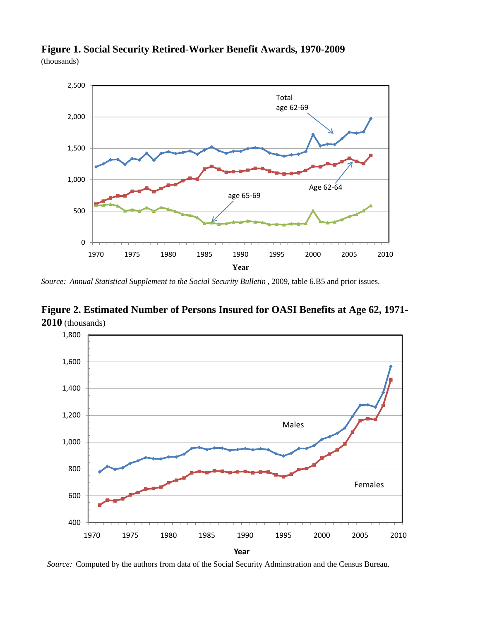

(thousands) **Figure 1. Social Security Retired-Worker Benefit Awards, 1970-2009**

*Source: Annual Statistical Supplement to the Social Security Bulletin* , 2009, table 6.B5 and prior issues.

### **Figure 2. Estimated Number of Persons Insured for OASI Benefits at Age 62, 1971- 2010** (thousands)



 *Source:* Computed by the authors from data of the Social Security Adminstration and the Census Bureau.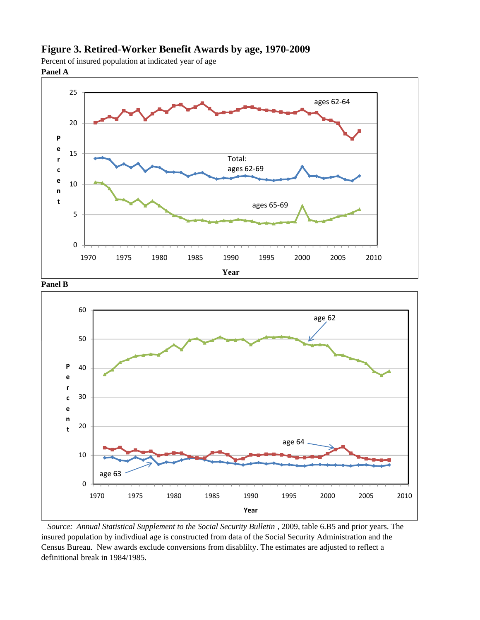### **Figure 3. Retired-Worker Benefit Awards by age, 1970-2009**

Percent of insured population at indicated year of age **Panel A**





 *Source: Annual Statistical Supplement to the Social Security Bulletin* , 2009, table 6.B5 and prior years. The insured population by indivdiual age is constructed from data of the Social Security Administration and the Census Bureau. New awards exclude conversions from disablilty. The estimates are adjusted to reflect a definitional break in 1984/1985.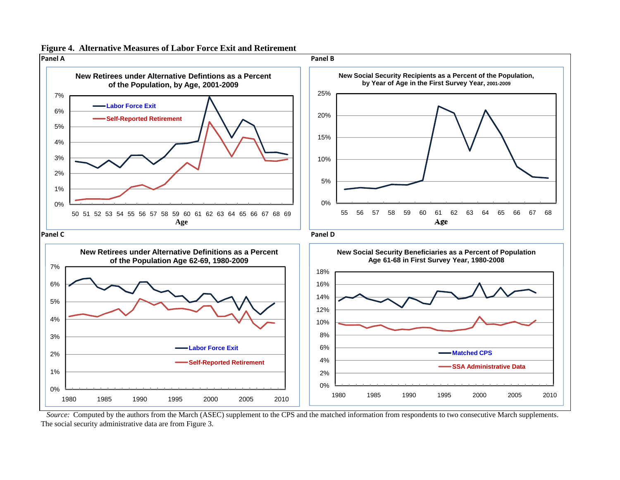

**Figure 4. Alternative Measures of Labor Force Exit and Retirement**

*Source:* Computed by the authors from the March (ASEC) supplement to the CPS and the matched information from respondents to two consecutive March supplements. The social security administrative data are from Figure 3.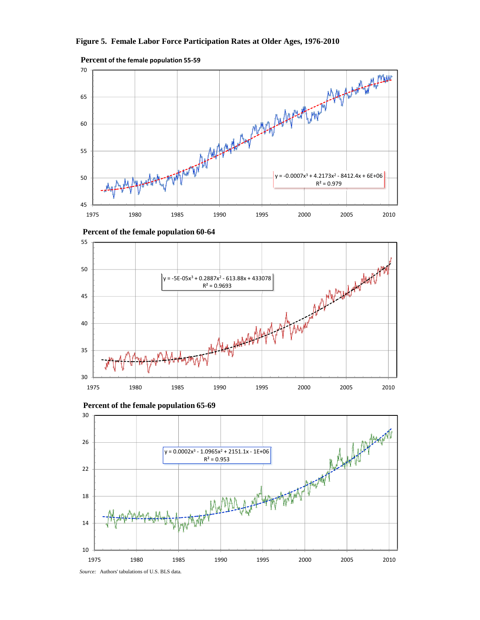



**Percent of the female population 55‐59**









*Source:* Authors' tabulations of U.S. BLS data.